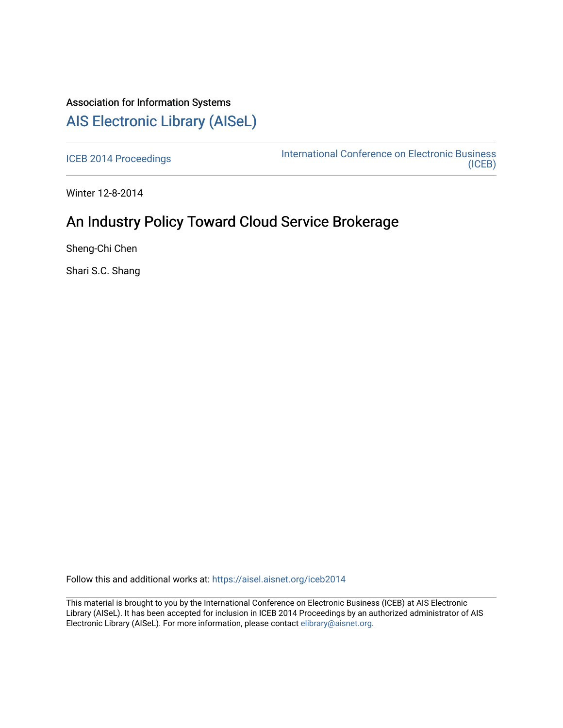# Association for Information Systems [AIS Electronic Library \(AISeL\)](https://aisel.aisnet.org/)

[ICEB 2014 Proceedings](https://aisel.aisnet.org/iceb2014) **International Conference on Electronic Business** [\(ICEB\)](https://aisel.aisnet.org/iceb) 

Winter 12-8-2014

# An Industry Policy Toward Cloud Service Brokerage

Sheng-Chi Chen

Shari S.C. Shang

Follow this and additional works at: [https://aisel.aisnet.org/iceb2014](https://aisel.aisnet.org/iceb2014?utm_source=aisel.aisnet.org%2Ficeb2014%2F57&utm_medium=PDF&utm_campaign=PDFCoverPages)

This material is brought to you by the International Conference on Electronic Business (ICEB) at AIS Electronic Library (AISeL). It has been accepted for inclusion in ICEB 2014 Proceedings by an authorized administrator of AIS Electronic Library (AISeL). For more information, please contact [elibrary@aisnet.org.](mailto:elibrary@aisnet.org%3E)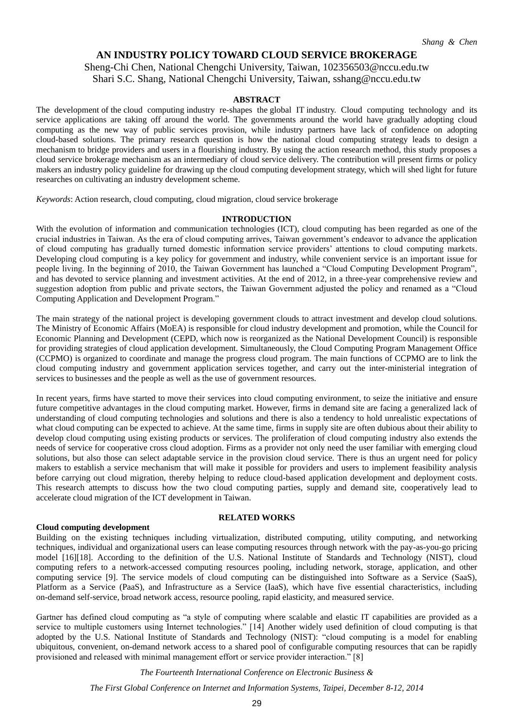# **AN INDUSTRY POLICY TOWARD CLOUD SERVICE BROKERAGE**

Sheng-Chi Chen, National Chengchi University, Taiwan, 102356503@nccu.edu.tw Shari S.C. Shang, National Chengchi University, Taiwan, sshang@nccu.edu.tw

# **ABSTRACT**

The development of the cloud computing industry re-shapes the global IT industry. Cloud computing technology and its service applications are taking off around the world. The governments around the world have gradually adopting cloud computing as the new way of public services provision, while industry partners have lack of confidence on adopting cloud-based solutions. The primary research question is how the national cloud computing strategy leads to design a mechanism to bridge providers and users in a flourishing industry. By using the action research method, this study proposes a cloud service brokerage mechanism as an intermediary of cloud service delivery. The contribution will present firms or policy makers an industry policy guideline for drawing up the cloud computing development strategy, which will shed light for future researches on cultivating an industry development scheme.

*Keywords*: Action research, cloud computing, cloud migration, cloud service brokerage

#### **INTRODUCTION**

With the evolution of information and communication technologies (ICT), cloud computing has been regarded as one of the crucial industries in Taiwan. As the era of cloud computing arrives, Taiwan government's endeavor to advance the application of cloud computing has gradually turned domestic information service providers' attentions to cloud computing markets. Developing cloud computing is a key policy for government and industry, while convenient service is an important issue for people living. In the beginning of 2010, the Taiwan Government has launched a "Cloud Computing Development Program", and has devoted to service planning and investment activities. At the end of 2012, in a three-year comprehensive review and suggestion adoption from public and private sectors, the Taiwan Government adjusted the policy and renamed as a "Cloud Computing Application and Development Program."

The main strategy of the national project is developing government clouds to attract investment and develop cloud solutions. The Ministry of Economic Affairs (MoEA) is responsible for cloud industry development and promotion, while the Council for Economic Planning and Development (CEPD, which now is reorganized as the National Development Council) is responsible for providing strategies of cloud application development. Simultaneously, the Cloud Computing Program Management Office (CCPMO) is organized to coordinate and manage the progress cloud program. The main functions of CCPMO are to link the cloud computing industry and government application services together, and carry out the inter-ministerial integration of services to businesses and the people as well as the use of government resources.

In recent years, firms have started to move their services into cloud computing environment, to seize the initiative and ensure future competitive advantages in the cloud computing market. However, firms in demand site are facing a generalized lack of understanding of cloud computing technologies and solutions and there is also a tendency to hold unrealistic expectations of what cloud computing can be expected to achieve. At the same time, firms in supply site are often dubious about their ability to develop cloud computing using existing products or services. The proliferation of cloud computing industry also extends the needs of service for cooperative cross cloud adoption. Firms as a provider not only need the user familiar with emerging cloud solutions, but also those can select adaptable service in the provision cloud service. There is thus an urgent need for policy makers to establish a service mechanism that will make it possible for providers and users to implement feasibility analysis before carrying out cloud migration, thereby helping to reduce cloud-based application development and deployment costs. This research attempts to discuss how the two cloud computing parties, supply and demand site, cooperatively lead to accelerate cloud migration of the ICT development in Taiwan.

#### **Cloud computing development**

# **RELATED WORKS**

Building on the existing techniques including virtualization, distributed computing, utility computing, and networking techniques, individual and organizational users can lease computing resources through network with the pay-as-you-go pricing model [16][18]. According to the definition of the U.S. National Institute of Standards and Technology (NIST), cloud computing refers to a network-accessed computing resources pooling, including network, storage, application, and other computing service [9]. The service models of cloud computing can be distinguished into Software as a Service (SaaS), Platform as a Service (PaaS), and Infrastructure as a Service (IaaS), which have five essential characteristics, including on-demand self-service, broad network access, resource pooling, rapid elasticity, and measured service.

Gartner has defined cloud computing as "a style of computing where scalable and elastic IT capabilities are provided as a service to multiple customers using Internet technologies." [14] Another widely used definition of cloud computing is that adopted by the U.S. National Institute of Standards and Technology (NIST): "cloud computing is a model for enabling ubiquitous, convenient, on-demand network access to a shared pool of configurable computing resources that can be rapidly provisioned and released with minimal management effort or service provider interaction." [8]

*The Fourteenth International Conference on Electronic Business &*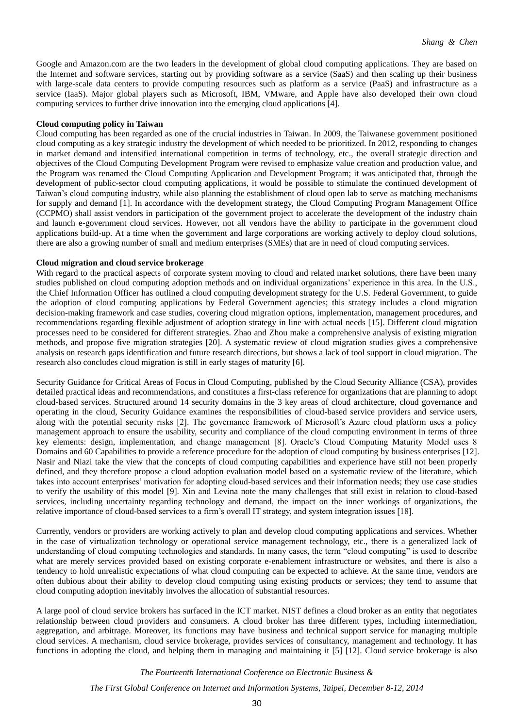Google and Amazon.com are the two leaders in the development of global cloud computing applications. They are based on the Internet and software services, starting out by providing software as a service (SaaS) and then scaling up their business with large-scale data centers to provide computing resources such as platform as a service (PaaS) and infrastructure as a service (IaaS). Major global players such as Microsoft, IBM, VMware, and Apple have also developed their own cloud computing services to further drive innovation into the emerging cloud applications [4].

#### **Cloud computing policy in Taiwan**

Cloud computing has been regarded as one of the crucial industries in Taiwan. In 2009, the Taiwanese government positioned cloud computing as a key strategic industry the development of which needed to be prioritized. In 2012, responding to changes in market demand and intensified international competition in terms of technology, etc., the overall strategic direction and objectives of the Cloud Computing Development Program were revised to emphasize value creation and production value, and the Program was renamed the Cloud Computing Application and Development Program; it was anticipated that, through the development of public-sector cloud computing applications, it would be possible to stimulate the continued development of Taiwan's cloud computing industry, while also planning the establishment of cloud open lab to serve as matching mechanisms for supply and demand [1]. In accordance with the development strategy, the Cloud Computing Program Management Office (CCPMO) shall assist vendors in participation of the government project to accelerate the development of the industry chain and launch e-government cloud services. However, not all vendors have the ability to participate in the government cloud applications build-up. At a time when the government and large corporations are working actively to deploy cloud solutions, there are also a growing number of small and medium enterprises (SMEs) that are in need of cloud computing services.

### **Cloud migration and cloud service brokerage**

With regard to the practical aspects of corporate system moving to cloud and related market solutions, there have been many studies published on cloud computing adoption methods and on individual organizations' experience in this area. In the U.S., the Chief Information Officer has outlined a cloud computing development strategy for the U.S. Federal Government, to guide the adoption of cloud computing applications by Federal Government agencies; this strategy includes a cloud migration decision-making framework and case studies, covering cloud migration options, implementation, management procedures, and recommendations regarding flexible adjustment of adoption strategy in line with actual needs [15]. Different cloud migration processes need to be considered for different strategies. Zhao and Zhou make a comprehensive analysis of existing migration methods, and propose five migration strategies [20]. A systematic review of cloud migration studies gives a comprehensive analysis on research gaps identification and future research directions, but shows a lack of tool support in cloud migration. The research also concludes cloud migration is still in early stages of maturity [6].

Security Guidance for Critical Areas of Focus in Cloud Computing, published by the Cloud Security Alliance (CSA), provides detailed practical ideas and recommendations, and constitutes a first-class reference for organizations that are planning to adopt cloud-based services. Structured around 14 security domains in the 3 key areas of cloud architecture, cloud governance and operating in the cloud, Security Guidance examines the responsibilities of cloud-based service providers and service users, along with the potential security risks [2]. The governance framework of Microsoft's Azure cloud platform uses a policy management approach to ensure the usability, security and compliance of the cloud computing environment in terms of three key elements: design, implementation, and change management [8]. Oracle's Cloud Computing Maturity Model uses 8 Domains and 60 Capabilities to provide a reference procedure for the adoption of cloud computing by business enterprises [12]. Nasir and Niazi take the view that the concepts of cloud computing capabilities and experience have still not been properly defined, and they therefore propose a cloud adoption evaluation model based on a systematic review of the literature, which takes into account enterprises' motivation for adopting cloud-based services and their information needs; they use case studies to verify the usability of this model [9]. Xin and Levina note the many challenges that still exist in relation to cloud-based services, including uncertainty regarding technology and demand, the impact on the inner workings of organizations, the relative importance of cloud-based services to a firm's overall IT strategy, and system integration issues [18].

Currently, vendors or providers are working actively to plan and develop cloud computing applications and services. Whether in the case of virtualization technology or operational service management technology, etc., there is a generalized lack of understanding of cloud computing technologies and standards. In many cases, the term "cloud computing" is used to describe what are merely services provided based on existing corporate e-enablement infrastructure or websites, and there is also a tendency to hold unrealistic expectations of what cloud computing can be expected to achieve. At the same time, vendors are often dubious about their ability to develop cloud computing using existing products or services; they tend to assume that cloud computing adoption inevitably involves the allocation of substantial resources.

A large pool of cloud service brokers has surfaced in the ICT market. NIST defines a cloud broker as an entity that negotiates relationship between cloud providers and consumers. A cloud broker has three different types, including intermediation, aggregation, and arbitrage. Moreover, its functions may have business and technical support service for managing multiple cloud services. A mechanism, cloud service brokerage, provides services of consultancy, management and technology. It has functions in adopting the cloud, and helping them in managing and maintaining it [5] [12]. Cloud service brokerage is also

#### *The Fourteenth International Conference on Electronic Business &*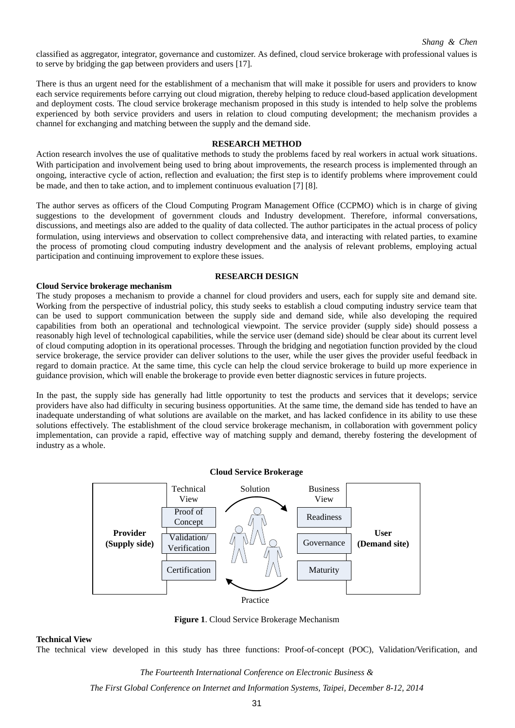*Shang & Chen*

classified as aggregator, integrator, governance and customizer. As defined, cloud service brokerage with professional values is to serve by bridging the gap between providers and users [17].

There is thus an urgent need for the establishment of a mechanism that will make it possible for users and providers to know each service requirements before carrying out cloud migration, thereby helping to reduce cloud-based application development and deployment costs. The cloud service brokerage mechanism proposed in this study is intended to help solve the problems experienced by both service providers and users in relation to cloud computing development; the mechanism provides a channel for exchanging and matching between the supply and the demand side.

#### **RESEARCH METHOD**

Action research involves the use of qualitative methods to study the problems faced by real workers in actual work situations. With participation and involvement being used to bring about improvements, the research process is implemented through an ongoing, interactive cycle of action, reflection and evaluation; the first step is to identify problems where improvement could be made, and then to take action, and to implement continuous evaluation [7] [8].

The author serves as officers of the Cloud Computing Program Management Office (CCPMO) which is in charge of giving suggestions to the development of government clouds and Industry development. Therefore, informal conversations, discussions, and meetings also are added to the quality of data collected. The author participates in the actual process of policy formulation, using interviews and observation to collect comprehensive data, and interacting with related parties, to examine the process of promoting cloud computing industry development and the analysis of relevant problems, employing actual participation and continuing improvement to explore these issues.

#### **RESEARCH DESIGN**

#### **Cloud Service brokerage mechanism**

The study proposes a mechanism to provide a channel for cloud providers and users, each for supply site and demand site. Working from the perspective of industrial policy, this study seeks to establish a cloud computing industry service team that can be used to support communication between the supply side and demand side, while also developing the required capabilities from both an operational and technological viewpoint. The service provider (supply side) should possess a reasonably high level of technological capabilities, while the service user (demand side) should be clear about its current level of cloud computing adoption in its operational processes. Through the bridging and negotiation function provided by the cloud service brokerage, the service provider can deliver solutions to the user, while the user gives the provider useful feedback in regard to domain practice. At the same time, this cycle can help the cloud service brokerage to build up more experience in guidance provision, which will enable the brokerage to provide even better diagnostic services in future projects.

In the past, the supply side has generally had little opportunity to test the products and services that it develops; service providers have also had difficulty in securing business opportunities. At the same time, the demand side has tended to have an inadequate understanding of what solutions are available on the market, and has lacked confidence in its ability to use these solutions effectively. The establishment of the cloud service brokerage mechanism, in collaboration with government policy implementation, can provide a rapid, effective way of matching supply and demand, thereby fostering the development of industry as a whole.

#### **Cloud Service Brokerage**



**Figure 1**. Cloud Service Brokerage Mechanism

**Technical View**

The technical view developed in this study has three functions: Proof-of-concept (POC), Validation/Verification, and

*The Fourteenth International Conference on Electronic Business &*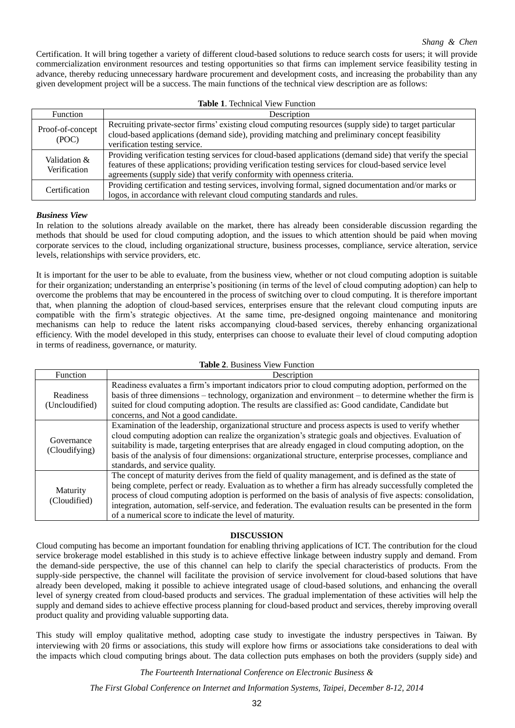Certification. It will bring together a variety of different cloud-based solutions to reduce search costs for users; it will provide commercialization environment resources and testing opportunities so that firms can implement service feasibility testing in advance, thereby reducing unnecessary hardware procurement and development costs, and increasing the probability than any given development project will be a success. The main functions of the technical view description are as follows:

| <b>Table 1. Technical View Function</b> |                                                                                                                                                                                                                                                                                                |  |
|-----------------------------------------|------------------------------------------------------------------------------------------------------------------------------------------------------------------------------------------------------------------------------------------------------------------------------------------------|--|
| <b>Function</b>                         | Description                                                                                                                                                                                                                                                                                    |  |
| Proof-of-concept<br>(POC)               | Recruiting private-sector firms' existing cloud computing resources (supply side) to target particular<br>cloud-based applications (demand side), providing matching and preliminary concept feasibility<br>verification testing service.                                                      |  |
| Validation &<br>Verification            | Providing verification testing services for cloud-based applications (demand side) that verify the special<br>features of these applications; providing verification testing services for cloud-based service level<br>agreements (supply side) that verify conformity with openness criteria. |  |
| Certification                           | Providing certification and testing services, involving formal, signed documentation and/or marks or<br>logos, in accordance with relevant cloud computing standards and rules.                                                                                                                |  |

## *Business View*

In relation to the solutions already available on the market, there has already been considerable discussion regarding the methods that should be used for cloud computing adoption, and the issues to which attention should be paid when moving corporate services to the cloud, including organizational structure, business processes, compliance, service alteration, service levels, relationships with service providers, etc.

It is important for the user to be able to evaluate, from the business view, whether or not cloud computing adoption is suitable for their organization; understanding an enterprise's positioning (in terms of the level of cloud computing adoption) can help to overcome the problems that may be encountered in the process of switching over to cloud computing. It is therefore important that, when planning the adoption of cloud-based services, enterprises ensure that the relevant cloud computing inputs are compatible with the firm's strategic objectives. At the same time, pre-designed ongoing maintenance and monitoring mechanisms can help to reduce the latent risks accompanying cloud-based services, thereby enhancing organizational efficiency. With the model developed in this study, enterprises can choose to evaluate their level of cloud computing adoption in terms of readiness, governance, or maturity.

| <b>Table 2. Business View Function</b> |                                                                                                                                                                                                                                                                                                                                                                                                                                                                                                        |
|----------------------------------------|--------------------------------------------------------------------------------------------------------------------------------------------------------------------------------------------------------------------------------------------------------------------------------------------------------------------------------------------------------------------------------------------------------------------------------------------------------------------------------------------------------|
| Function                               | Description                                                                                                                                                                                                                                                                                                                                                                                                                                                                                            |
| Readiness<br>(Uncloudified)            | Readiness evaluates a firm's important indicators prior to cloud computing adoption, performed on the<br>basis of three dimensions – technology, organization and environment – to determine whether the firm is<br>suited for cloud computing adoption. The results are classified as: Good candidate, Candidate but<br>concerns, and Not a good candidate.                                                                                                                                           |
| Governance<br>(Cloudifying)            | Examination of the leadership, organizational structure and process aspects is used to verify whether<br>cloud computing adoption can realize the organization's strategic goals and objectives. Evaluation of<br>suitability is made, targeting enterprises that are already engaged in cloud computing adoption, on the<br>basis of the analysis of four dimensions: organizational structure, enterprise processes, compliance and<br>standards, and service quality.                               |
| Maturity<br>(Cloudified)               | The concept of maturity derives from the field of quality management, and is defined as the state of<br>being complete, perfect or ready. Evaluation as to whether a firm has already successfully completed the<br>process of cloud computing adoption is performed on the basis of analysis of five aspects: consolidation,<br>integration, automation, self-service, and federation. The evaluation results can be presented in the form<br>of a numerical score to indicate the level of maturity. |

#### **DISCUSSION**

Cloud computing has become an important foundation for enabling thriving applications of ICT. The contribution for the cloud service brokerage model established in this study is to achieve effective linkage between industry supply and demand. From the demand-side perspective, the use of this channel can help to clarify the special characteristics of products. From the supply-side perspective, the channel will facilitate the provision of service involvement for cloud-based solutions that have already been developed, making it possible to achieve integrated usage of cloud-based solutions, and enhancing the overall level of synergy created from cloud-based products and services. The gradual implementation of these activities will help the supply and demand sides to achieve effective process planning for cloud-based product and services, thereby improving overall product quality and providing valuable supporting data.

This study will employ qualitative method, adopting case study to investigate the industry perspectives in Taiwan. By interviewing with 20 firms or associations, this study will explore how firms or associations take considerations to deal with the impacts which cloud computing brings about. The data collection puts emphases on both the providers (supply side) and

*The Fourteenth International Conference on Electronic Business &*